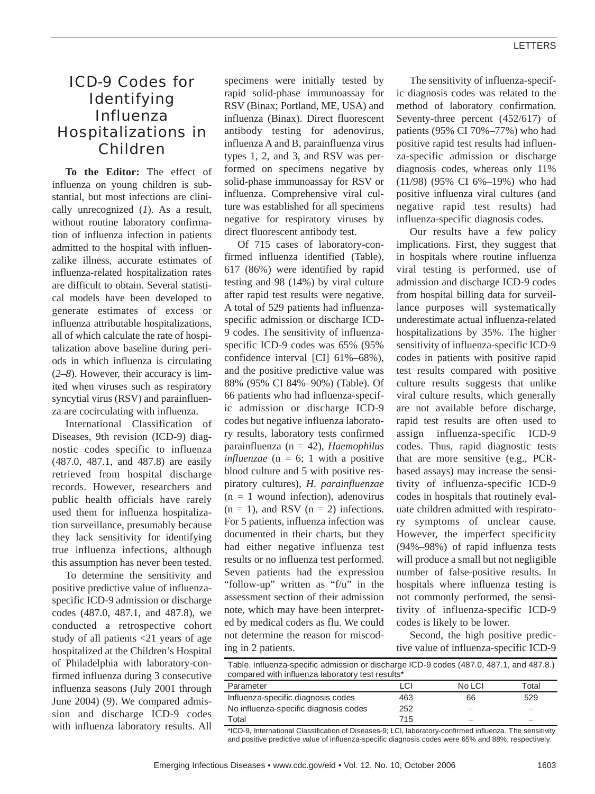# ICD-9 Codes for Identifying Influenza Hospitalizations in Children

**To the Editor:** The effect of influenza on young children is substantial, but most infections are clinically unrecognized (*1*). As a result, without routine laboratory confirmation of influenza infection in patients admitted to the hospital with influenzalike illness, accurate estimates of influenza-related hospitalization rates are difficult to obtain. Several statistical models have been developed to generate estimates of excess or influenza attributable hospitalizations, all of which calculate the rate of hospitalization above baseline during periods in which influenza is circulating (*2*–*8*). However, their accuracy is limited when viruses such as respiratory syncytial virus (RSV) and parainfluenza are cocirculating with influenza.

International Classification of Diseases, 9th revision (ICD-9) diagnostic codes specific to influenza (487.0, 487.1, and 487.8) are easily retrieved from hospital discharge records. However, researchers and public health officials have rarely used them for influenza hospitalization surveillance, presumably because they lack sensitivity for identifying true influenza infections, although this assumption has never been tested.

To determine the sensitivity and positive predictive value of influenzaspecific ICD-9 admission or discharge codes (487.0, 487.1, and 487.8), we conducted a retrospective cohort study of all patients <21 years of age hospitalized at the Children's Hospital of Philadelphia with laboratory-confirmed influenza during 3 consecutive influenza seasons (July 2001 through June 2004) (*9*). We compared admission and discharge ICD-9 codes with influenza laboratory results. All specimens were initially tested by rapid solid-phase immunoassay for RSV (Binax; Portland, ME, USA) and influenza (Binax). Direct fluorescent antibody testing for adenovirus, influenza A and B, parainfluenza virus types 1, 2, and 3, and RSV was performed on specimens negative by solid-phase immunoassay for RSV or influenza. Comprehensive viral culture was established for all specimens negative for respiratory viruses by direct fluorescent antibody test.

Of 715 cases of laboratory-confirmed influenza identified (Table), 617 (86%) were identified by rapid testing and 98 (14%) by viral culture after rapid test results were negative. A total of 529 patients had influenzaspecific admission or discharge ICD-9 codes. The sensitivity of influenzaspecific ICD-9 codes was 65% (95% confidence interval [CI] 61%–68%), and the positive predictive value was 88% (95% CI 84%–90%) (Table). Of 66 patients who had influenza-specific admission or discharge ICD-9 codes but negative influenza laboratory results, laboratory tests confirmed parainfluenza (n = 42), *Haemophilus influenzae* (n = 6; 1 with a positive blood culture and 5 with positive respiratory cultures), *H*. *parainfluenzae*  $(n = 1$  wound infection), adenovirus  $(n = 1)$ , and RSV  $(n = 2)$  infections. For 5 patients, influenza infection was documented in their charts, but they had either negative influenza test results or no influenza test performed. Seven patients had the expression "follow-up" written as "f/u" in the assessment section of their admission note, which may have been interpreted by medical coders as flu. We could not determine the reason for miscoding in 2 patients.

The sensitivity of influenza-specific diagnosis codes was related to the method of laboratory confirmation. Seventy-three percent (452/617) of patients (95% CI 70%–77%) who had positive rapid test results had influenza-specific admission or discharge diagnosis codes, whereas only 11% (11/98) (95% CI 6%–19%) who had positive influenza viral cultures (and negative rapid test results) had influenza-specific diagnosis codes.

Our results have a few policy implications. First, they suggest that in hospitals where routine influenza viral testing is performed, use of admission and discharge ICD-9 codes from hospital billing data for surveillance purposes will systematically underestimate actual influenza-related hospitalizations by 35%. The higher sensitivity of influenza-specific ICD-9 codes in patients with positive rapid test results compared with positive culture results suggests that unlike viral culture results, which generally are not available before discharge, rapid test results are often used to assign influenza-specific ICD-9 codes. Thus, rapid diagnostic tests that are more sensitive (e.g., PCRbased assays) may increase the sensitivity of influenza-specific ICD-9 codes in hospitals that routinely evaluate children admitted with respiratory symptoms of unclear cause. However, the imperfect specificity (94%–98%) of rapid influenza tests will produce a small but not negligible number of false-positive results. In hospitals where influenza testing is not commonly performed, the sensitivity of influenza-specific ICD-9 codes is likely to be lower.

Second, the high positive predictive value of influenza-specific ICD-9

| Table. Influenza-specific admission or discharge ICD-9 codes (487.0, 487.1, and 487.8.)<br>compared with influenza laboratory test results* |      |        |       |
|---------------------------------------------------------------------------------------------------------------------------------------------|------|--------|-------|
| Parameter                                                                                                                                   | I CI | No LCI | Total |
| Influenza-specific diagnosis codes                                                                                                          | 463  | 66     | 529   |
| No influenza-specific diagnosis codes                                                                                                       | 252  |        |       |
| Total                                                                                                                                       | 715  |        |       |

\*ICD-9, International Classification of Diseases-9; LCI, laboratory-confirmed influenza. The sensitivity and positive predictive value of influenza-specific diagnosis codes were 65% and 88%, respectively.